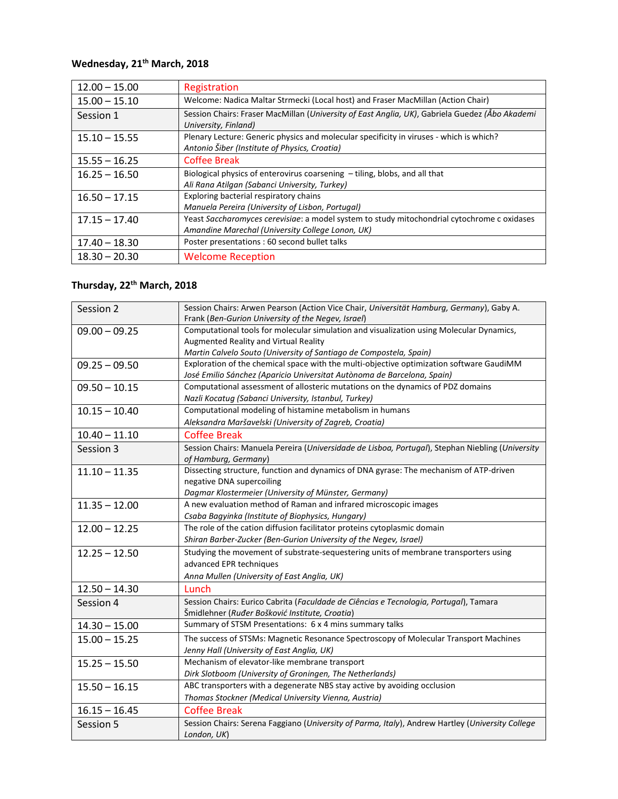## **Wednesday, 21th March, 2018**

| $12.00 - 15.00$ | Registration                                                                                                                                    |
|-----------------|-------------------------------------------------------------------------------------------------------------------------------------------------|
| $15.00 - 15.10$ | Welcome: Nadica Maltar Strmecki (Local host) and Fraser MacMillan (Action Chair)                                                                |
| Session 1       | Session Chairs: Fraser MacMillan (University of East Anglia, UK), Gabriela Guedez (Abo Akademi<br>University, Finland)                          |
| $15.10 - 15.55$ | Plenary Lecture: Generic physics and molecular specificity in viruses - which is which?<br>Antonio Šiber (Institute of Physics, Croatia)        |
| $15.55 - 16.25$ | <b>Coffee Break</b>                                                                                                                             |
| $16.25 - 16.50$ | Biological physics of enterovirus coarsening - tiling, blobs, and all that<br>Ali Rana Atilgan (Sabanci University, Turkey)                     |
| $16.50 - 17.15$ | Exploring bacterial respiratory chains<br>Manuela Pereira (University of Lisbon, Portugal)                                                      |
| $17.15 - 17.40$ | Yeast Saccharomyces cerevisiae: a model system to study mitochondrial cytochrome c oxidases<br>Amandine Marechal (University College Lonon, UK) |
| $17.40 - 18.30$ | Poster presentations : 60 second bullet talks                                                                                                   |
| $18.30 - 20.30$ | <b>Welcome Reception</b>                                                                                                                        |

## **Thursday, 22th March, 2018**

| Session 2       | Session Chairs: Arwen Pearson (Action Vice Chair, Universität Hamburg, Germany), Gaby A.<br>Frank (Ben-Gurion University of the Negev, Israel) |
|-----------------|------------------------------------------------------------------------------------------------------------------------------------------------|
| $09.00 - 09.25$ | Computational tools for molecular simulation and visualization using Molecular Dynamics,                                                       |
|                 | Augmented Reality and Virtual Reality                                                                                                          |
|                 | Martin Calvelo Souto (University of Santiago de Compostela, Spain)                                                                             |
| $09.25 - 09.50$ | Exploration of the chemical space with the multi-objective optimization software GaudiMM                                                       |
|                 | José Emilio Sánchez (Aparicio Universitat Autònoma de Barcelona, Spain)                                                                        |
| $09.50 - 10.15$ | Computational assessment of allosteric mutations on the dynamics of PDZ domains                                                                |
|                 | Nazli Kocatug (Sabanci University, Istanbul, Turkey)                                                                                           |
| $10.15 - 10.40$ | Computational modeling of histamine metabolism in humans                                                                                       |
|                 | Aleksandra Maršavelski (University of Zagreb, Croatia)                                                                                         |
| $10.40 - 11.10$ | <b>Coffee Break</b>                                                                                                                            |
| Session 3       | Session Chairs: Manuela Pereira (Universidade de Lisboa, Portugal), Stephan Niebling (University<br>of Hamburg, Germany)                       |
| $11.10 - 11.35$ | Dissecting structure, function and dynamics of DNA gyrase: The mechanism of ATP-driven                                                         |
|                 | negative DNA supercoiling                                                                                                                      |
|                 | Dagmar Klostermeier (University of Münster, Germany)                                                                                           |
| $11.35 - 12.00$ | A new evaluation method of Raman and infrared microscopic images                                                                               |
|                 | Csaba Bagyinka (Institute of Biophysics, Hungary)                                                                                              |
| $12.00 - 12.25$ | The role of the cation diffusion facilitator proteins cytoplasmic domain                                                                       |
|                 | Shiran Barber-Zucker (Ben-Gurion University of the Negev, Israel)                                                                              |
| $12.25 - 12.50$ | Studying the movement of substrate-sequestering units of membrane transporters using                                                           |
|                 | advanced EPR techniques                                                                                                                        |
|                 | Anna Mullen (University of East Anglia, UK)                                                                                                    |
| $12.50 - 14.30$ | Lunch                                                                                                                                          |
| Session 4       | Session Chairs: Eurico Cabrita (Faculdade de Ciências e Tecnologia, Portugal), Tamara                                                          |
|                 | Šmidlehner (Ruđer Bošković Institute, Croatia)                                                                                                 |
| $14.30 - 15.00$ | Summary of STSM Presentations: 6 x 4 mins summary talks                                                                                        |
| $15.00 - 15.25$ | The success of STSMs: Magnetic Resonance Spectroscopy of Molecular Transport Machines                                                          |
|                 | Jenny Hall (University of East Anglia, UK)                                                                                                     |
| $15.25 - 15.50$ | Mechanism of elevator-like membrane transport                                                                                                  |
|                 | Dirk Slotboom (University of Groningen, The Netherlands)                                                                                       |
| $15.50 - 16.15$ | ABC transporters with a degenerate NBS stay active by avoiding occlusion                                                                       |
|                 | Thomas Stockner (Medical University Vienna, Austria)                                                                                           |
| $16.15 - 16.45$ | <b>Coffee Break</b>                                                                                                                            |
| Session 5       | Session Chairs: Serena Faggiano (University of Parma, Italy), Andrew Hartley (University College<br>London, UK)                                |